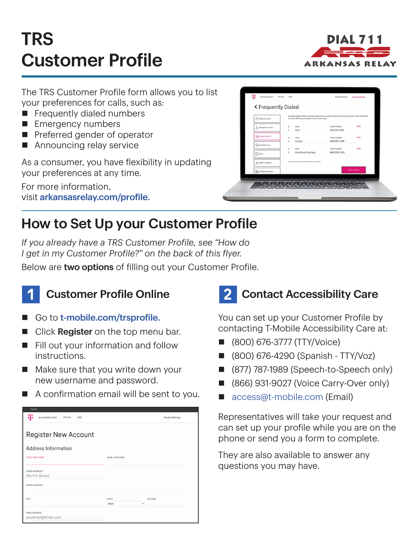# **TRS** Customer Profile



The TRS Customer Profile form allows you to list your preferences for calls, such as:

- $\blacksquare$  Frequently dialed numbers
- **Emergency numbers**
- $\blacksquare$  Preferred gender of operator
- $\blacksquare$  Announcing relay service

As a consumer, you have flexibility in updating your preferences at any time.

For more information, visit [arkansasrelay.com/profile.](http://arkansasrelay.com/profile)

| < Frequently Dialed<br>(1) IP Relay Numbers     | etc.). Up to 100 frequently dialed numbers can be stored. | Frequently dialed numbers are phone numbers that you would like speed dial or easy access to (i.e. mom, work, home, |               |
|-------------------------------------------------|-----------------------------------------------------------|---------------------------------------------------------------------------------------------------------------------|---------------|
| Emergency Location<br>Λ                         | NAME<br>ID<br>Mom<br>1                                    | PHONE NUMBER<br>$(312)$ 555-2587                                                                                    | <b>Delate</b> |
| The Frequently Dialed                           | NAME<br>10<br>$\overline{2}$<br>Dr. Gold                  | PHONE NUMBER<br>(410) 555-4789                                                                                      | Delete        |
| Call Preferences<br>$\boxed{\frac{1}{2}}$ Notes | 10<br><b>NAME</b><br>3<br>Main Street Pharmacy            | PHONE NUMBER<br>(443) 555-0120                                                                                      | <b>Oelete</b> |
| Speech to Speech                                | There are 3 Frequently Dialed Numbers in your profile.    |                                                                                                                     |               |
| <b>Do</b> Emergency Numbers                     |                                                           |                                                                                                                     | Add number    |

### How to Set Up your Customer Profile

*If you already have a TRS Customer Profile, see "How do I get in my Customer Profile?" on the back of this flyer.*

Below are two options of filling out your Customer Profile.



#### **Customer Profile Online**

- Go to [t-mobile.com/trsprofile.](http://t-mobile.com/trsprofile)
- Click Register on the top menu bar.
- $\blacksquare$  Fill out your information and follow instructions.
- $\blacksquare$  Make sure that you write down your new username and password.
- $\blacksquare$  A confirmation email will be sent to you.

| copairon                                          |                    |                         |
|---------------------------------------------------|--------------------|-------------------------|
| ሞ<br>Accessibility Care<br>911 Info<br><b>FAQ</b> |                    | <b>Display Settings</b> |
|                                                   |                    |                         |
| <b>Register New Account</b>                       |                    |                         |
| Address Information                               |                    |                         |
| LEGAL FIRST NAME'                                 | LEGAL LAST NAME'   |                         |
|                                                   |                    |                         |
| HOME ADDRESS 1"                                   |                    |                         |
| (No P.O. Boxes)                                   |                    |                         |
| HOME ADDRESS 2                                    |                    |                         |
| CITY <sup>*</sup>                                 | STATE <sup>®</sup> | ZIP CODE'               |
|                                                   | ٠<br>State         |                         |
| <b>EMAIL ADDRESS®</b><br>youremail@email.com      |                    |                         |

## 2 Contact Accessibility Care

You can set up your Customer Profile by contacting T-Mobile Accessibility Care at:

- n (800) 676-3777 (TTY/Voice)
- n (800) 676-4290 (Spanish TTY/Voz)
- (877) 787-1989 (Speech-to-Speech only)
- $(866)$  931-9027 (Voice Carry-Over only)
- [access@t-mobile.com](mailto:access%40t-mobile.com?subject=) (Email)

Representatives will take your request and can set up your profile while you are on the phone or send you a form to complete.

They are also available to answer any questions you may have.